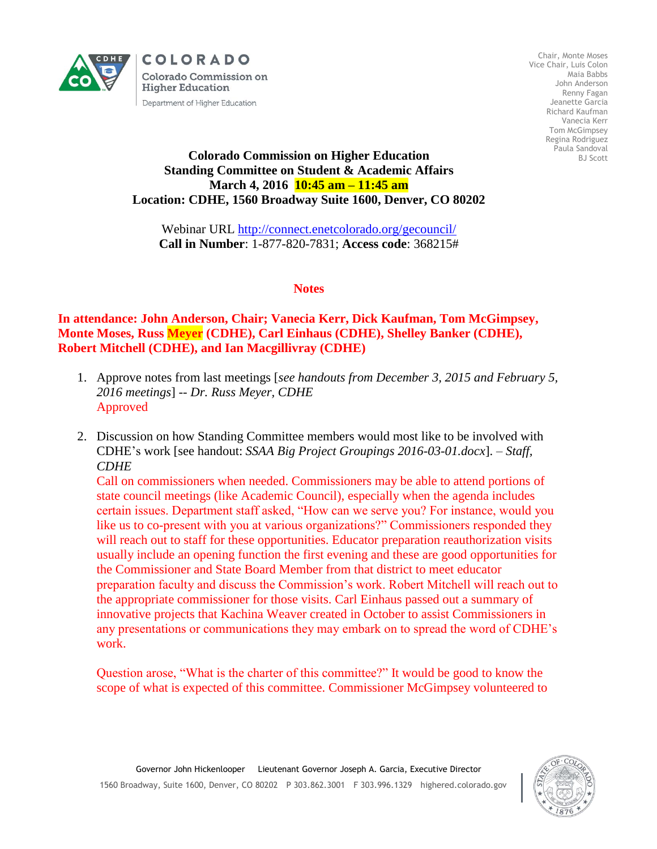

COLORADO **Colorado Commission on Higher Education** Department of Higher Education

Chair, Monte Moses Vice Chair, Luis Colon Maia Babbs John Anderson Renny Fagan Jeanette Garcia Richard Kaufman Vanecia Kerr Tom McGimpsey Regina Rodriguez Paula Sandoval BJ Scott

## **Colorado Commission on Higher Education Standing Committee on Student & Academic Affairs March 4, 2016 10:45 am – 11:45 am Location: CDHE, 1560 Broadway Suite 1600, Denver, CO 80202**

Webinar URL<http://connect.enetcolorado.org/gecouncil/> **Call in Number**: 1-877-820-7831; **Access code**: 368215#

## **Notes**

**In attendance: John Anderson, Chair; Vanecia Kerr, Dick Kaufman, Tom McGimpsey, Monte Moses, Russ Meyer (CDHE), Carl Einhaus (CDHE), Shelley Banker (CDHE), Robert Mitchell (CDHE), and Ian Macgillivray (CDHE)**

- 1. Approve notes from last meetings [*see handouts from December 3, 2015 and February 5, 2016 meetings*] -- *Dr. Russ Meyer, CDHE* Approved
- 2. Discussion on how Standing Committee members would most like to be involved with CDHE's work [see handout: *SSAA Big Project Groupings 2016-03-01.docx*]. – *Staff, CDHE*

Call on commissioners when needed. Commissioners may be able to attend portions of state council meetings (like Academic Council), especially when the agenda includes certain issues. Department staff asked, "How can we serve you? For instance, would you like us to co-present with you at various organizations?" Commissioners responded they will reach out to staff for these opportunities. Educator preparation reauthorization visits usually include an opening function the first evening and these are good opportunities for the Commissioner and State Board Member from that district to meet educator preparation faculty and discuss the Commission's work. Robert Mitchell will reach out to the appropriate commissioner for those visits. Carl Einhaus passed out a summary of innovative projects that Kachina Weaver created in October to assist Commissioners in any presentations or communications they may embark on to spread the word of CDHE's work.

Question arose, "What is the charter of this committee?" It would be good to know the scope of what is expected of this committee. Commissioner McGimpsey volunteered to

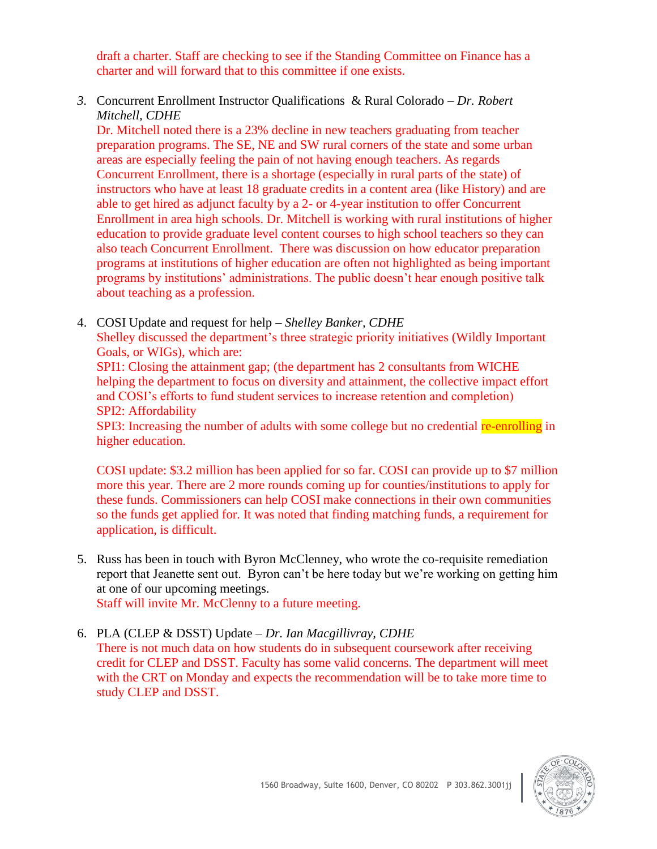draft a charter. Staff are checking to see if the Standing Committee on Finance has a charter and will forward that to this committee if one exists.

*3.* Concurrent Enrollment Instructor Qualifications & Rural Colorado – *Dr. Robert Mitchell, CDHE* 

Dr. Mitchell noted there is a 23% decline in new teachers graduating from teacher preparation programs. The SE, NE and SW rural corners of the state and some urban areas are especially feeling the pain of not having enough teachers. As regards Concurrent Enrollment, there is a shortage (especially in rural parts of the state) of instructors who have at least 18 graduate credits in a content area (like History) and are able to get hired as adjunct faculty by a 2- or 4-year institution to offer Concurrent Enrollment in area high schools. Dr. Mitchell is working with rural institutions of higher education to provide graduate level content courses to high school teachers so they can also teach Concurrent Enrollment. There was discussion on how educator preparation programs at institutions of higher education are often not highlighted as being important programs by institutions' administrations. The public doesn't hear enough positive talk about teaching as a profession.

- 4. COSI Update and request for help *Shelley Banker, CDHE* Shelley discussed the department's three strategic priority initiatives (Wildly Important Goals, or WIGs), which are: SPI1: Closing the attainment gap; (the department has 2 consultants from WICHE helping the department to focus on diversity and attainment, the collective impact effort and COSI's efforts to fund student services to increase retention and completion)
	- SPI2: Affordability

SPI3: Increasing the number of adults with some college but no credential re-enrolling in higher education.

COSI update: \$3.2 million has been applied for so far. COSI can provide up to \$7 million more this year. There are 2 more rounds coming up for counties/institutions to apply for these funds. Commissioners can help COSI make connections in their own communities so the funds get applied for. It was noted that finding matching funds, a requirement for application, is difficult.

5. Russ has been in touch with Byron McClenney, who wrote the co-requisite remediation report that Jeanette sent out. Byron can't be here today but we're working on getting him at one of our upcoming meetings. Staff will invite Mr. McClenny to a future meeting.

6. PLA (CLEP & DSST) Update – *Dr. Ian Macgillivray, CDHE*

There is not much data on how students do in subsequent coursework after receiving credit for CLEP and DSST. Faculty has some valid concerns. The department will meet with the CRT on Monday and expects the recommendation will be to take more time to study CLEP and DSST.